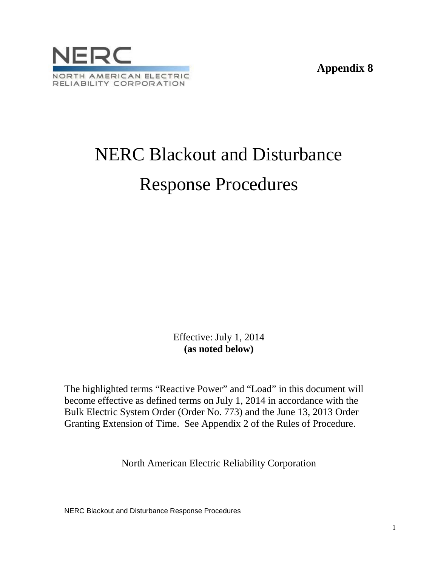**Appendix 8**



# NERC Blackout and Disturbance Response Procedures

Effective: July 1, 2014 **(as noted below)**

The highlighted terms "Reactive Power" and "Load" in this document will become effective as defined terms on July 1, 2014 in accordance with the Bulk Electric System Order (Order No. 773) and the June 13, 2013 Order Granting Extension of Time. See Appendix 2 of the Rules of Procedure.

North American Electric Reliability Corporation

NERC Blackout and Disturbance Response Procedures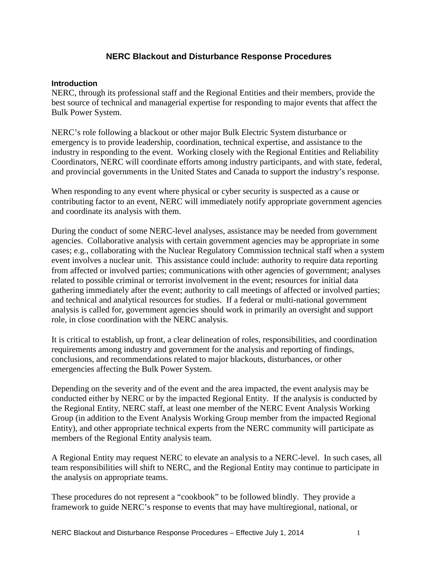# **NERC Blackout and Disturbance Response Procedures**

#### **Introduction**

NERC, through its professional staff and the Regional Entities and their members, provide the best source of technical and managerial expertise for responding to major events that affect the Bulk Power System.

NERC's role following a blackout or other major Bulk Electric System disturbance or emergency is to provide leadership, coordination, technical expertise, and assistance to the industry in responding to the event. Working closely with the Regional Entities and Reliability Coordinators, NERC will coordinate efforts among industry participants, and with state, federal, and provincial governments in the United States and Canada to support the industry's response.

When responding to any event where physical or cyber security is suspected as a cause or contributing factor to an event, NERC will immediately notify appropriate government agencies and coordinate its analysis with them.

During the conduct of some NERC-level analyses, assistance may be needed from government agencies. Collaborative analysis with certain government agencies may be appropriate in some cases; e.g., collaborating with the Nuclear Regulatory Commission technical staff when a system event involves a nuclear unit. This assistance could include: authority to require data reporting from affected or involved parties; communications with other agencies of government; analyses related to possible criminal or terrorist involvement in the event; resources for initial data gathering immediately after the event; authority to call meetings of affected or involved parties; and technical and analytical resources for studies. If a federal or multi-national government analysis is called for, government agencies should work in primarily an oversight and support role, in close coordination with the NERC analysis.

It is critical to establish, up front, a clear delineation of roles, responsibilities, and coordination requirements among industry and government for the analysis and reporting of findings, conclusions, and recommendations related to major blackouts, disturbances, or other emergencies affecting the Bulk Power System.

Depending on the severity and of the event and the area impacted, the event analysis may be conducted either by NERC or by the impacted Regional Entity. If the analysis is conducted by the Regional Entity, NERC staff, at least one member of the NERC Event Analysis Working Group (in addition to the Event Analysis Working Group member from the impacted Regional Entity), and other appropriate technical experts from the NERC community will participate as members of the Regional Entity analysis team.

A Regional Entity may request NERC to elevate an analysis to a NERC-level. In such cases, all team responsibilities will shift to NERC, and the Regional Entity may continue to participate in the analysis on appropriate teams.

These procedures do not represent a "cookbook" to be followed blindly. They provide a framework to guide NERC's response to events that may have multiregional, national, or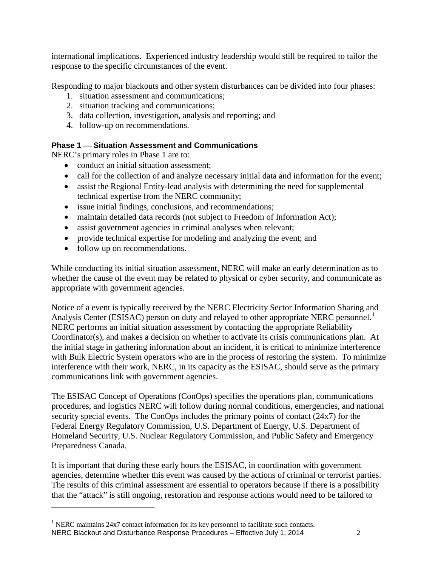international implications. Experienced industry leadership would still be required to tailor the response to the specific circumstances of the event.

Responding to major blackouts and other system disturbances can be divided into four phases:

- 1. situation assessment and communications;
- 2. situation tracking and communications;
- 3. data collection, investigation, analysis and reporting; and
- 4. follow-up on recommendations.

# **Phase 1 – Situation Assessment and Communications**

NERC's primary roles in Phase 1 are to:

- conduct an initial situation assessment;
- call for the collection of and analyze necessary initial data and information for the event;
- assist the Regional Entity-lead analysis with determining the need for supplemental technical expertise from the NERC community;
- issue initial findings, conclusions, and recommendations;
- maintain detailed data records (not subject to Freedom of Information Act);
- assist government agencies in criminal analyses when relevant;
- provide technical expertise for modeling and analyzing the event; and
- follow up on recommendations.

 $\overline{a}$ 

While conducting its initial situation assessment, NERC will make an early determination as to whether the cause of the event may be related to physical or cyber security, and communicate as appropriate with government agencies.

Notice of a event is typically received by the NERC Electricity Sector Information Sharing and Analysis Center (ESISAC) person on duty and relayed to other appropriate NERC personnel.<sup>[1](#page-2-0)</sup> NERC performs an initial situation assessment by contacting the appropriate Reliability Coordinator(s), and makes a decision on whether to activate its crisis communications plan. At the initial stage in gathering information about an incident, it is critical to minimize interference with Bulk Electric System operators who are in the process of restoring the system. To minimize interference with their work, NERC, in its capacity as the ESISAC, should serve as the primary communications link with government agencies.

The ESISAC Concept of Operations (ConOps) specifies the operations plan, communications procedures, and logistics NERC will follow during normal conditions, emergencies, and national security special events. The ConOps includes the primary points of contact (24x7) for the Federal Energy Regulatory Commission, U.S. Department of Energy, U.S. Department of Homeland Security, U.S. Nuclear Regulatory Commission, and Public Safety and Emergency Preparedness Canada.

It is important that during these early hours the ESISAC, in coordination with government agencies, determine whether this event was caused by the actions of criminal or terrorist parties. The results of this criminal assessment are essential to operators because if there is a possibility that the "attack" is still ongoing, restoration and response actions would need to be tailored to

<span id="page-2-0"></span>NERC Blackout and Disturbance Response Procedures – Effective July 1, 2014 2  $1$  NERC maintains 24x7 contact information for its key personnel to facilitate such contacts.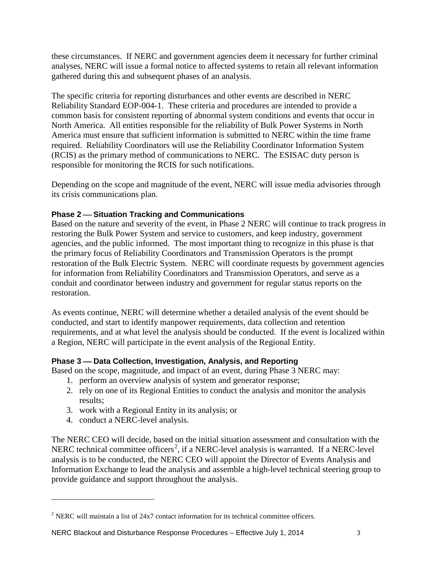these circumstances. If NERC and government agencies deem it necessary for further criminal analyses, NERC will issue a formal notice to affected systems to retain all relevant information gathered during this and subsequent phases of an analysis.

The specific criteria for reporting disturbances and other events are described in NERC Reliability Standard EOP-004-1. These criteria and procedures are intended to provide a common basis for consistent reporting of abnormal system conditions and events that occur in North America. All entities responsible for the reliability of Bulk Power Systems in North America must ensure that sufficient information is submitted to NERC within the time frame required. Reliability Coordinators will use the Reliability Coordinator Information System (RCIS) as the primary method of communications to NERC. The ESISAC duty person is responsible for monitoring the RCIS for such notifications.

Depending on the scope and magnitude of the event, NERC will issue media advisories through its crisis communications plan.

# **Phase 2 – Situation Tracking and Communications**

Based on the nature and severity of the event, in Phase 2 NERC will continue to track progress in restoring the Bulk Power System and service to customers, and keep industry, government agencies, and the public informed. The most important thing to recognize in this phase is that the primary focus of Reliability Coordinators and Transmission Operators is the prompt restoration of the Bulk Electric System. NERC will coordinate requests by government agencies for information from Reliability Coordinators and Transmission Operators, and serve as a conduit and coordinator between industry and government for regular status reports on the restoration.

As events continue, NERC will determine whether a detailed analysis of the event should be conducted, and start to identify manpower requirements, data collection and retention requirements, and at what level the analysis should be conducted. If the event is localized within a Region, NERC will participate in the event analysis of the Regional Entity.

# **Phase 3 – Data Collection, Investigation, Analysis, and Reporting**

Based on the scope, magnitude, and impact of an event, during Phase 3 NERC may:

- 1. perform an overview analysis of system and generator response;
- 2. rely on one of its Regional Entities to conduct the analysis and monitor the analysis results;
- 3. work with a Regional Entity in its analysis; or
- 4. conduct a NERC-level analysis.

 $\overline{a}$ 

The NERC CEO will decide, based on the initial situation assessment and consultation with the NERC technical committee officers<sup>[2](#page-3-0)</sup>, if a NERC-level analysis is warranted. If a NERC-level analysis is to be conducted, the NERC CEO will appoint the Director of Events Analysis and Information Exchange to lead the analysis and assemble a high-level technical steering group to provide guidance and support throughout the analysis.

<span id="page-3-0"></span><sup>2</sup> NERC will maintain a list of 24x7 contact information for its technical committee officers.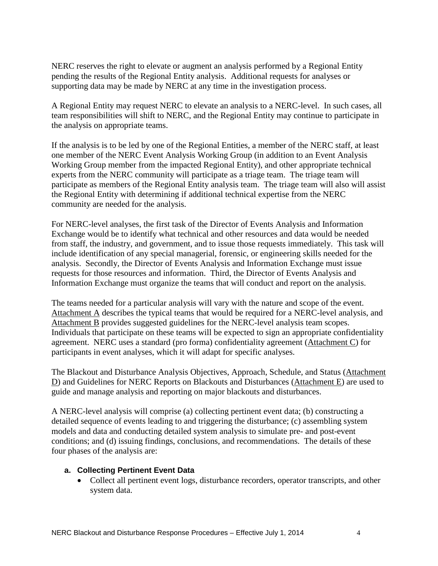NERC reserves the right to elevate or augment an analysis performed by a Regional Entity pending the results of the Regional Entity analysis. Additional requests for analyses or supporting data may be made by NERC at any time in the investigation process.

A Regional Entity may request NERC to elevate an analysis to a NERC-level. In such cases, all team responsibilities will shift to NERC, and the Regional Entity may continue to participate in the analysis on appropriate teams.

If the analysis is to be led by one of the Regional Entities, a member of the NERC staff, at least one member of the NERC Event Analysis Working Group (in addition to an Event Analysis Working Group member from the impacted Regional Entity), and other appropriate technical experts from the NERC community will participate as a triage team. The triage team will participate as members of the Regional Entity analysis team. The triage team will also will assist the Regional Entity with determining if additional technical expertise from the NERC community are needed for the analysis.

For NERC-level analyses, the first task of the Director of Events Analysis and Information Exchange would be to identify what technical and other resources and data would be needed from staff, the industry, and government, and to issue those requests immediately. This task will include identification of any special managerial, forensic, or engineering skills needed for the analysis. Secondly, the Director of Events Analysis and Information Exchange must issue requests for those resources and information. Third, the Director of Events Analysis and Information Exchange must organize the teams that will conduct and report on the analysis.

The teams needed for a particular analysis will vary with the nature and scope of the event. Attachment A describes the typical teams that would be required for a NERC-level analysis, and Attachment B provides suggested guidelines for the NERC-level analysis team scopes. Individuals that participate on these teams will be expected to sign an appropriate confidentiality agreement. NERC uses a standard (pro forma) confidentiality agreement (Attachment C) for participants in event analyses, which it will adapt for specific analyses.

The Blackout and Disturbance Analysis Objectives, Approach, Schedule, and Status (Attachment D) and Guidelines for NERC Reports on Blackouts and Disturbances (Attachment E) are used to guide and manage analysis and reporting on major blackouts and disturbances.

A NERC-level analysis will comprise (a) collecting pertinent event data; (b) constructing a detailed sequence of events leading to and triggering the disturbance; (c) assembling system models and data and conducting detailed system analysis to simulate pre- and post-event conditions; and (d) issuing findings, conclusions, and recommendations. The details of these four phases of the analysis are:

#### **a. Collecting Pertinent Event Data**

• Collect all pertinent event logs, disturbance recorders, operator transcripts, and other system data.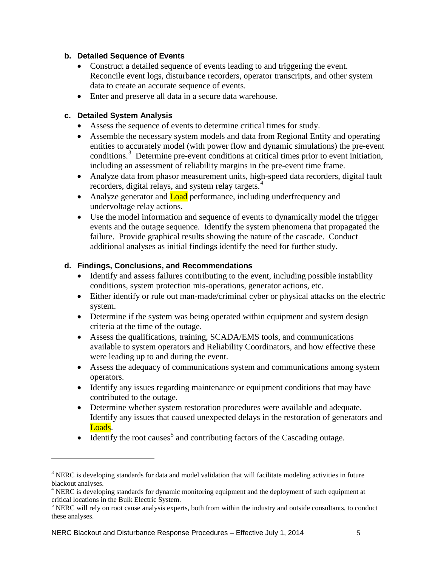# **b. Detailed Sequence of Events**

- Construct a detailed sequence of events leading to and triggering the event. Reconcile event logs, disturbance recorders, operator transcripts, and other system data to create an accurate sequence of events.
- Enter and preserve all data in a secure data warehouse.

# **c. Detailed System Analysis**

 $\overline{a}$ 

- Assess the sequence of events to determine critical times for study.
- Assemble the necessary system models and data from Regional Entity and operating entities to accurately model (with power flow and dynamic simulations) the pre-event conditions.<sup>[3](#page-5-0)</sup> Determine pre-event conditions at critical times prior to event initiation, including an assessment of reliability margins in the pre-event time frame.
- Analyze data from phasor measurement units, high-speed data recorders, digital fault recorders, digital relays, and system relay targets.<sup>[4](#page-5-1)</sup>
- Analyze generator and **Load** performance, including underfrequency and undervoltage relay actions.
- Use the model information and sequence of events to dynamically model the trigger events and the outage sequence. Identify the system phenomena that propagated the failure. Provide graphical results showing the nature of the cascade. Conduct additional analyses as initial findings identify the need for further study.

# **d. Findings, Conclusions, and Recommendations**

- Identify and assess failures contributing to the event, including possible instability conditions, system protection mis-operations, generator actions, etc.
- Either identify or rule out man-made/criminal cyber or physical attacks on the electric system.
- Determine if the system was being operated within equipment and system design criteria at the time of the outage.
- Assess the qualifications, training, SCADA/EMS tools, and communications available to system operators and Reliability Coordinators, and how effective these were leading up to and during the event.
- Assess the adequacy of communications system and communications among system operators.
- Identify any issues regarding maintenance or equipment conditions that may have contributed to the outage.
- Determine whether system restoration procedures were available and adequate. Identify any issues that caused unexpected delays in the restoration of generators and Loads.
- $\bullet$  Identify the root causes<sup>[5](#page-5-2)</sup> and contributing factors of the Cascading outage.

<span id="page-5-0"></span><sup>&</sup>lt;sup>3</sup> NERC is developing standards for data and model validation that will facilitate modeling activities in future blackout analyses.

<span id="page-5-1"></span><sup>&</sup>lt;sup>4</sup> NERC is developing standards for dynamic monitoring equipment and the deployment of such equipment at critical locations in the Bulk Electric System.

<span id="page-5-2"></span><sup>&</sup>lt;sup>5</sup> NERC will rely on root cause analysis experts, both from within the industry and outside consultants, to conduct these analyses.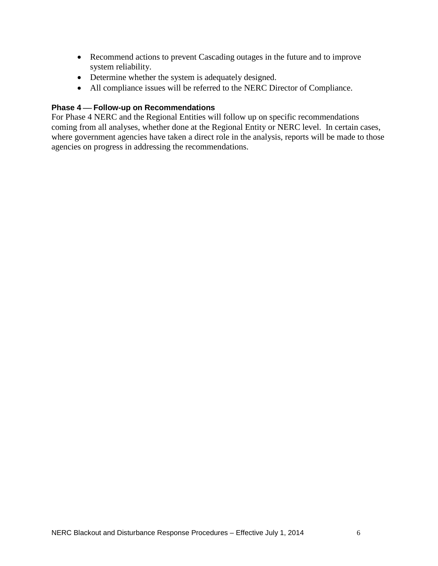- Recommend actions to prevent Cascading outages in the future and to improve system reliability.
- Determine whether the system is adequately designed.
- All compliance issues will be referred to the NERC Director of Compliance.

# **Phase 4 – Follow-up on Recommendations**

For Phase 4 NERC and the Regional Entities will follow up on specific recommendations coming from all analyses, whether done at the Regional Entity or NERC level. In certain cases, where government agencies have taken a direct role in the analysis, reports will be made to those agencies on progress in addressing the recommendations.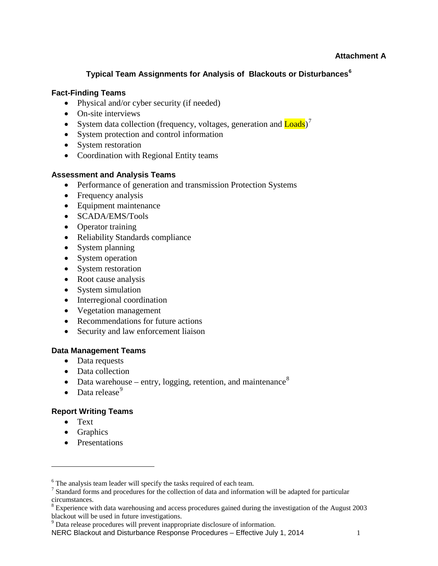# **Typical Team Assignments for Analysis of Blackouts or Disturbances[6](#page-7-0)**

# **Fact-Finding Teams**

- Physical and/or cyber security (if needed)
- On-site interviews
- System data collection (frequency, voltages, generation and **Loads**)<sup>[7](#page-7-1)</sup>
- System protection and control information
- System restoration
- Coordination with Regional Entity teams

#### **Assessment and Analysis Teams**

- Performance of generation and transmission Protection Systems
- Frequency analysis
- Equipment maintenance
- SCADA/EMS/Tools
- Operator training
- Reliability Standards compliance
- System planning
- System operation
- System restoration
- Root cause analysis
- System simulation
- Interregional coordination
- Vegetation management
- Recommendations for future actions
- Security and law enforcement liaison

#### **Data Management Teams**

- Data requests
- Data collection
- Data warehouse entry, logging, retention, and maintenance<sup>[8](#page-7-2)</sup>
- Data release $<sup>9</sup>$  $<sup>9</sup>$  $<sup>9</sup>$ </sup>

# **Report Writing Teams**

• Text

 $\overline{a}$ 

- Graphics
- Presentations

<span id="page-7-1"></span><span id="page-7-0"></span> $\frac{6}{7}$  The analysis team leader will specify the tasks required of each team.<br> $\frac{7}{7}$  Standard forms and procedures for the collection of data and information will be adapted for particular circumstances.

<span id="page-7-2"></span><sup>&</sup>lt;sup>8</sup> Experience with data warehousing and access procedures gained during the investigation of the August 2003 blackout will be used in future investigations.

 $9$  Data release procedures will prevent inappropriate disclosure of information.

<span id="page-7-3"></span>NERC Blackout and Disturbance Response Procedures – Effective July 1, 2014 1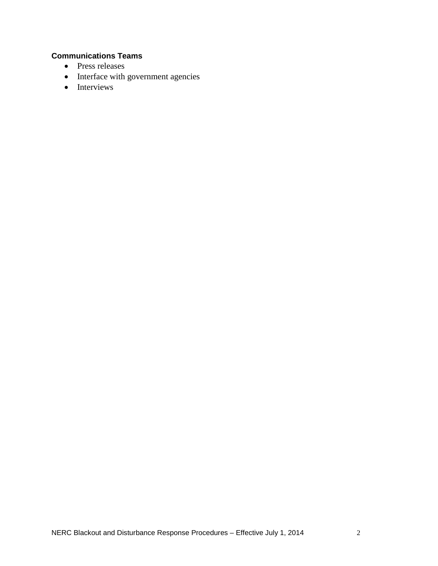# **Communications Teams**

- Press releases
- Interface with government agencies
- Interviews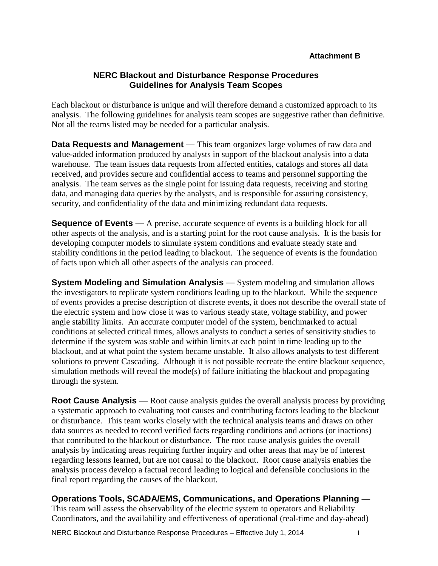# **NERC Blackout and Disturbance Response Procedures Guidelines for Analysis Team Scopes**

Each blackout or disturbance is unique and will therefore demand a customized approach to its analysis. The following guidelines for analysis team scopes are suggestive rather than definitive. Not all the teams listed may be needed for a particular analysis.

**Data Requests and Management** — This team organizes large volumes of raw data and value-added information produced by analysts in support of the blackout analysis into a data warehouse. The team issues data requests from affected entities, catalogs and stores all data received, and provides secure and confidential access to teams and personnel supporting the analysis. The team serves as the single point for issuing data requests, receiving and storing data, and managing data queries by the analysts, and is responsible for assuring consistency, security, and confidentiality of the data and minimizing redundant data requests.

**Sequence of Events** — A precise, accurate sequence of events is a building block for all other aspects of the analysis, and is a starting point for the root cause analysis. It is the basis for developing computer models to simulate system conditions and evaluate steady state and stability conditions in the period leading to blackout. The sequence of events is the foundation of facts upon which all other aspects of the analysis can proceed.

**System Modeling and Simulation Analysis** — System modeling and simulation allows the investigators to replicate system conditions leading up to the blackout. While the sequence of events provides a precise description of discrete events, it does not describe the overall state of the electric system and how close it was to various steady state, voltage stability, and power angle stability limits. An accurate computer model of the system, benchmarked to actual conditions at selected critical times, allows analysts to conduct a series of sensitivity studies to determine if the system was stable and within limits at each point in time leading up to the blackout, and at what point the system became unstable. It also allows analysts to test different solutions to prevent Cascading. Although it is not possible recreate the entire blackout sequence, simulation methods will reveal the mode(s) of failure initiating the blackout and propagating through the system.

**Root Cause Analysis** — Root cause analysis guides the overall analysis process by providing a systematic approach to evaluating root causes and contributing factors leading to the blackout or disturbance. This team works closely with the technical analysis teams and draws on other data sources as needed to record verified facts regarding conditions and actions (or inactions) that contributed to the blackout or disturbance. The root cause analysis guides the overall analysis by indicating areas requiring further inquiry and other areas that may be of interest regarding lessons learned, but are not causal to the blackout. Root cause analysis enables the analysis process develop a factual record leading to logical and defensible conclusions in the final report regarding the causes of the blackout.

# **Operations Tools, SCADA/EMS, Communications, and Operations Planning** —

This team will assess the observability of the electric system to operators and Reliability Coordinators, and the availability and effectiveness of operational (real-time and day-ahead)

NERC Blackout and Disturbance Response Procedures – Effective July 1, 2014 1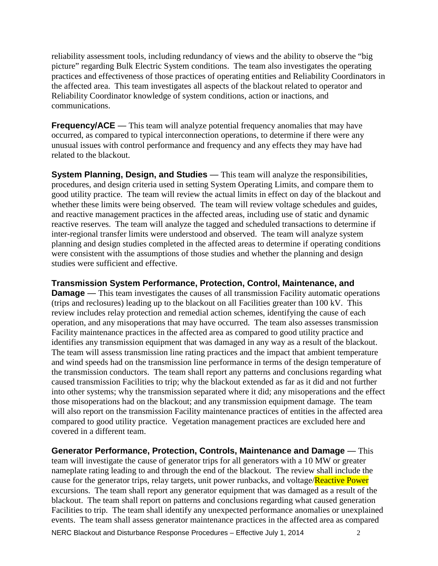reliability assessment tools, including redundancy of views and the ability to observe the "big picture" regarding Bulk Electric System conditions. The team also investigates the operating practices and effectiveness of those practices of operating entities and Reliability Coordinators in the affected area. This team investigates all aspects of the blackout related to operator and Reliability Coordinator knowledge of system conditions, action or inactions, and communications.

**Frequency/ACE** — This team will analyze potential frequency anomalies that may have occurred, as compared to typical interconnection operations, to determine if there were any unusual issues with control performance and frequency and any effects they may have had related to the blackout.

**System Planning, Design, and Studies** — This team will analyze the responsibilities, procedures, and design criteria used in setting System Operating Limits, and compare them to good utility practice. The team will review the actual limits in effect on day of the blackout and whether these limits were being observed. The team will review voltage schedules and guides, and reactive management practices in the affected areas, including use of static and dynamic reactive reserves. The team will analyze the tagged and scheduled transactions to determine if inter-regional transfer limits were understood and observed. The team will analyze system planning and design studies completed in the affected areas to determine if operating conditions were consistent with the assumptions of those studies and whether the planning and design studies were sufficient and effective.

**Transmission System Performance, Protection, Control, Maintenance, and Damage** — This team investigates the causes of all transmission Facility automatic operations (trips and reclosures) leading up to the blackout on all Facilities greater than 100 kV. This review includes relay protection and remedial action schemes, identifying the cause of each operation, and any misoperations that may have occurred. The team also assesses transmission Facility maintenance practices in the affected area as compared to good utility practice and identifies any transmission equipment that was damaged in any way as a result of the blackout. The team will assess transmission line rating practices and the impact that ambient temperature and wind speeds had on the transmission line performance in terms of the design temperature of the transmission conductors. The team shall report any patterns and conclusions regarding what caused transmission Facilities to trip; why the blackout extended as far as it did and not further into other systems; why the transmission separated where it did; any misoperations and the effect those misoperations had on the blackout; and any transmission equipment damage. The team will also report on the transmission Facility maintenance practices of entities in the affected area compared to good utility practice. Vegetation management practices are excluded here and covered in a different team.

**Generator Performance, Protection, Controls, Maintenance and Damage** — This team will investigate the cause of generator trips for all generators with a 10 MW or greater nameplate rating leading to and through the end of the blackout. The review shall include the cause for the generator trips, relay targets, unit power runbacks, and voltage/Reactive Power excursions. The team shall report any generator equipment that was damaged as a result of the blackout. The team shall report on patterns and conclusions regarding what caused generation Facilities to trip. The team shall identify any unexpected performance anomalies or unexplained events. The team shall assess generator maintenance practices in the affected area as compared

NERC Blackout and Disturbance Response Procedures – Effective July 1, 2014 2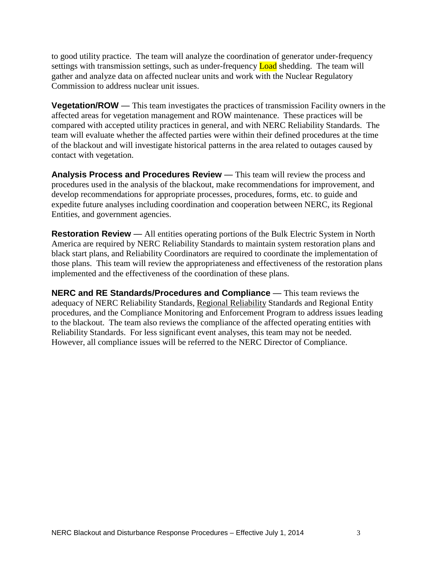to good utility practice. The team will analyze the coordination of generator under-frequency settings with transmission settings, such as under-frequency **Load** shedding. The team will gather and analyze data on affected nuclear units and work with the Nuclear Regulatory Commission to address nuclear unit issues.

**Vegetation/ROW** — This team investigates the practices of transmission Facility owners in the affected areas for vegetation management and ROW maintenance. These practices will be compared with accepted utility practices in general, and with NERC Reliability Standards. The team will evaluate whether the affected parties were within their defined procedures at the time of the blackout and will investigate historical patterns in the area related to outages caused by contact with vegetation.

**Analysis Process and Procedures Review** — This team will review the process and procedures used in the analysis of the blackout, make recommendations for improvement, and develop recommendations for appropriate processes, procedures, forms, etc. to guide and expedite future analyses including coordination and cooperation between NERC, its Regional Entities, and government agencies.

**Restoration Review** — All entities operating portions of the Bulk Electric System in North America are required by NERC Reliability Standards to maintain system restoration plans and black start plans, and Reliability Coordinators are required to coordinate the implementation of those plans. This team will review the appropriateness and effectiveness of the restoration plans implemented and the effectiveness of the coordination of these plans.

**NERC and RE Standards/Procedures and Compliance** — This team reviews the adequacy of NERC Reliability Standards, Regional Reliability Standards and Regional Entity procedures, and the Compliance Monitoring and Enforcement Program to address issues leading to the blackout. The team also reviews the compliance of the affected operating entities with Reliability Standards. For less significant event analyses, this team may not be needed. However, all compliance issues will be referred to the NERC Director of Compliance.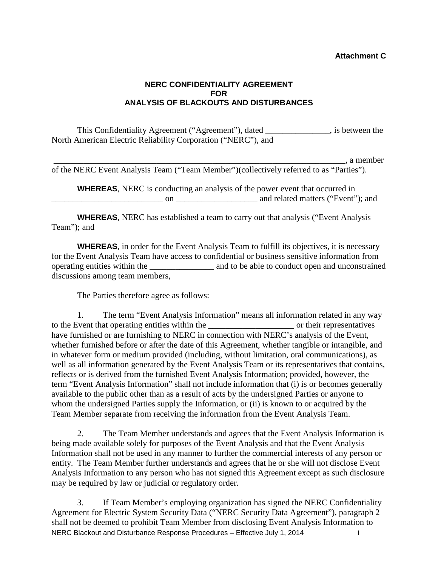#### **Attachment C**

# **NERC CONFIDENTIALITY AGREEMENT FOR ANALYSIS OF BLACKOUTS AND DISTURBANCES**

This Confidentiality Agreement ("Agreement"), dated \_\_\_\_\_\_\_\_\_\_\_\_\_\_\_, is between the North American Electric Reliability Corporation ("NERC"), and

 $\Box$ , a member

of the NERC Event Analysis Team ("Team Member")(collectively referred to as "Parties").

**WHEREAS**, NERC is conducting an analysis of the power event that occurred in \_\_\_\_\_\_\_\_\_\_\_\_\_\_\_\_\_\_\_\_\_\_\_\_\_\_ on \_\_\_\_\_\_\_\_\_\_\_\_\_\_\_\_\_\_\_ and related matters ("Event"); and

**WHEREAS**, NERC has established a team to carry out that analysis ("Event Analysis Team"); and

**WHEREAS**, in order for the Event Analysis Team to fulfill its objectives, it is necessary for the Event Analysis Team have access to confidential or business sensitive information from operating entities within the \_\_\_\_\_\_\_\_\_\_\_\_\_\_\_ and to be able to conduct open and unconstrained discussions among team members,

The Parties therefore agree as follows:

1. The term "Event Analysis Information" means all information related in any way to the Event that operating entities within the \_\_\_\_\_\_\_\_\_\_\_\_\_\_\_\_\_\_\_\_ or their representatives have furnished or are furnishing to NERC in connection with NERC's analysis of the Event, whether furnished before or after the date of this Agreement, whether tangible or intangible, and in whatever form or medium provided (including, without limitation, oral communications), as well as all information generated by the Event Analysis Team or its representatives that contains, reflects or is derived from the furnished Event Analysis Information; provided, however, the term "Event Analysis Information" shall not include information that (i) is or becomes generally available to the public other than as a result of acts by the undersigned Parties or anyone to whom the undersigned Parties supply the Information, or (ii) is known to or acquired by the Team Member separate from receiving the information from the Event Analysis Team.

2. The Team Member understands and agrees that the Event Analysis Information is being made available solely for purposes of the Event Analysis and that the Event Analysis Information shall not be used in any manner to further the commercial interests of any person or entity. The Team Member further understands and agrees that he or she will not disclose Event Analysis Information to any person who has not signed this Agreement except as such disclosure may be required by law or judicial or regulatory order.

NERC Blackout and Disturbance Response Procedures – Effective July 1, 2014 3. If Team Member's employing organization has signed the NERC Confidentiality Agreement for Electric System Security Data ("NERC Security Data Agreement"), paragraph 2 shall not be deemed to prohibit Team Member from disclosing Event Analysis Information to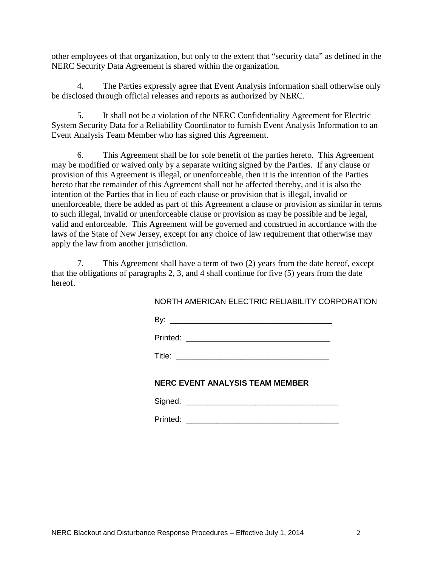other employees of that organization, but only to the extent that "security data" as defined in the NERC Security Data Agreement is shared within the organization.

4. The Parties expressly agree that Event Analysis Information shall otherwise only be disclosed through official releases and reports as authorized by NERC.

5. It shall not be a violation of the NERC Confidentiality Agreement for Electric System Security Data for a Reliability Coordinator to furnish Event Analysis Information to an Event Analysis Team Member who has signed this Agreement.

6. This Agreement shall be for sole benefit of the parties hereto. This Agreement may be modified or waived only by a separate writing signed by the Parties. If any clause or provision of this Agreement is illegal, or unenforceable, then it is the intention of the Parties hereto that the remainder of this Agreement shall not be affected thereby, and it is also the intention of the Parties that in lieu of each clause or provision that is illegal, invalid or unenforceable, there be added as part of this Agreement a clause or provision as similar in terms to such illegal, invalid or unenforceable clause or provision as may be possible and be legal, valid and enforceable. This Agreement will be governed and construed in accordance with the laws of the State of New Jersey, except for any choice of law requirement that otherwise may apply the law from another jurisdiction.

7. This Agreement shall have a term of two (2) years from the date hereof, except that the obligations of paragraphs 2, 3, and 4 shall continue for five (5) years from the date hereof.

NORTH AMERICAN ELECTRIC RELIABILITY CORPORATION

By: \_\_\_\_\_\_\_\_\_\_\_\_\_\_\_\_\_\_\_\_\_\_\_\_\_\_\_\_\_\_\_\_\_\_\_\_\_

Printed: \_\_\_\_\_\_\_\_\_\_\_\_\_\_\_\_\_\_\_\_\_\_\_\_\_\_\_\_\_\_\_\_\_

 $\mathsf{Title:}\hspace{2.2cm}$ 

# **NERC EVENT ANALYSIS TEAM MEMBER**

Printed: \_\_\_\_\_\_\_\_\_\_\_\_\_\_\_\_\_\_\_\_\_\_\_\_\_\_\_\_\_\_\_\_\_\_\_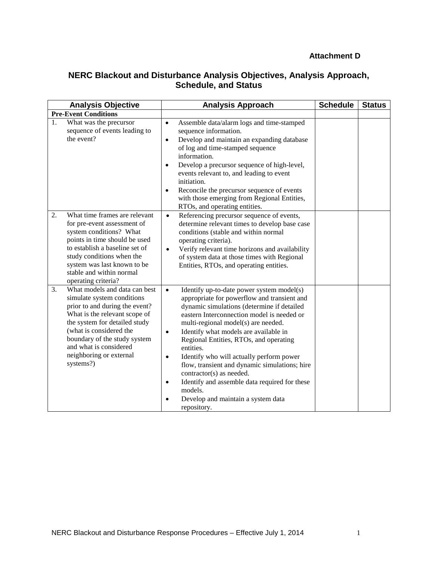# **Attachment D**

# **NERC Blackout and Disturbance Analysis Objectives, Analysis Approach, Schedule, and Status**

| <b>Analysis Objective</b>                                                                                                                                                                                     |                                                                                                                                                                   | <b>Analysis Approach</b>                                                                                                                                                                                                                                                                                                                                                                                                                                                                                                                                                                                                  | <b>Schedule</b> | <b>Status</b> |
|---------------------------------------------------------------------------------------------------------------------------------------------------------------------------------------------------------------|-------------------------------------------------------------------------------------------------------------------------------------------------------------------|---------------------------------------------------------------------------------------------------------------------------------------------------------------------------------------------------------------------------------------------------------------------------------------------------------------------------------------------------------------------------------------------------------------------------------------------------------------------------------------------------------------------------------------------------------------------------------------------------------------------------|-----------------|---------------|
| <b>Pre-Event Conditions</b>                                                                                                                                                                                   |                                                                                                                                                                   |                                                                                                                                                                                                                                                                                                                                                                                                                                                                                                                                                                                                                           |                 |               |
| What was the precursor<br>1.<br>the event?                                                                                                                                                                    | sequence of events leading to                                                                                                                                     | Assemble data/alarm logs and time-stamped<br>$\bullet$<br>sequence information.<br>Develop and maintain an expanding database<br>$\bullet$<br>of log and time-stamped sequence<br>information.<br>Develop a precursor sequence of high-level,<br>$\bullet$<br>events relevant to, and leading to event<br>initiation.<br>Reconcile the precursor sequence of events<br>$\bullet$<br>with those emerging from Regional Entities,<br>RTOs, and operating entities.                                                                                                                                                          |                 |               |
| 2.<br>for pre-event assessment of<br>system conditions? What<br>to establish a baseline set of<br>study conditions when the<br>system was last known to be<br>stable and within normal<br>operating criteria? | What time frames are relevant<br>points in time should be used                                                                                                    | Referencing precursor sequence of events,<br>$\bullet$<br>determine relevant times to develop base case<br>conditions (stable and within normal<br>operating criteria).<br>Verify relevant time horizons and availability<br>$\bullet$<br>of system data at those times with Regional<br>Entities, RTOs, and operating entities.                                                                                                                                                                                                                                                                                          |                 |               |
| 3.<br>simulate system conditions<br>(what is considered the<br>and what is considered<br>neighboring or external<br>systems?)                                                                                 | What models and data can best<br>prior to and during the event?<br>What is the relevant scope of<br>the system for detailed study<br>boundary of the study system | Identify up-to-date power system model(s)<br>$\bullet$<br>appropriate for powerflow and transient and<br>dynamic simulations (determine if detailed<br>eastern Interconnection model is needed or<br>multi-regional model(s) are needed.<br>Identify what models are available in<br>$\bullet$<br>Regional Entities, RTOs, and operating<br>entities.<br>Identify who will actually perform power<br>$\bullet$<br>flow, transient and dynamic simulations; hire<br>contractor(s) as needed.<br>Identify and assemble data required for these<br>$\bullet$<br>models.<br>Develop and maintain a system data<br>repository. |                 |               |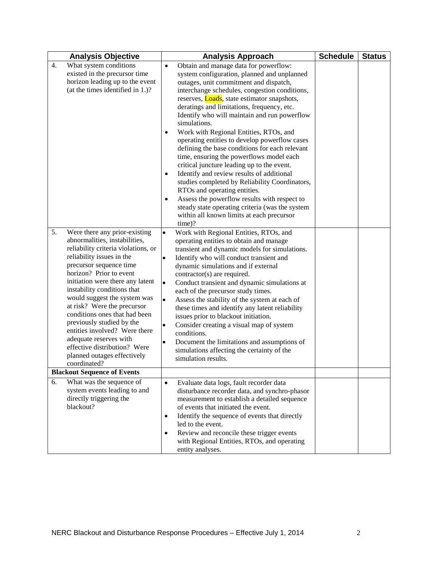| <b>Analysis Objective</b>                                                                                                                                                                                                                                                                                                                                                                                                                                                                                                                                                      | <b>Analysis Approach</b>                                                                                                                                                                                                                                                                                                                                                                                                                                                                                                                                                                                                                                                                                                                                                                                                                                                                             | <b>Schedule</b> | <b>Status</b> |
|--------------------------------------------------------------------------------------------------------------------------------------------------------------------------------------------------------------------------------------------------------------------------------------------------------------------------------------------------------------------------------------------------------------------------------------------------------------------------------------------------------------------------------------------------------------------------------|------------------------------------------------------------------------------------------------------------------------------------------------------------------------------------------------------------------------------------------------------------------------------------------------------------------------------------------------------------------------------------------------------------------------------------------------------------------------------------------------------------------------------------------------------------------------------------------------------------------------------------------------------------------------------------------------------------------------------------------------------------------------------------------------------------------------------------------------------------------------------------------------------|-----------------|---------------|
| What system conditions<br>4.<br>existed in the precursor time<br>horizon leading up to the event<br>(at the times identified in 1.)?                                                                                                                                                                                                                                                                                                                                                                                                                                           | Obtain and manage data for powerflow:<br>$\bullet$<br>system configuration, planned and unplanned<br>outages, unit commitment and dispatch,<br>interchange schedules, congestion conditions,<br>reserves, <b>Loads</b> , state estimator snapshots,<br>deratings and limitations, frequency, etc.<br>Identify who will maintain and run powerflow<br>simulations.<br>Work with Regional Entities, RTOs, and<br>operating entities to develop powerflow cases<br>defining the base conditions for each relevant<br>time, ensuring the powerflows model each<br>critical juncture leading up to the event.<br>Identify and review results of additional<br>studies completed by Reliability Coordinators,<br>RTOs and operating entities.<br>Assess the powerflow results with respect to<br>$\bullet$<br>steady state operating criteria (was the system<br>within all known limits at each precursor |                 |               |
| 5.<br>Were there any prior-existing<br>abnormalities, instabilities,<br>reliability criteria violations, or<br>reliability issues in the<br>precursor sequence time<br>horizon? Prior to event<br>initiation were there any latent<br>instability conditions that<br>would suggest the system was<br>at risk? Were the precursor<br>conditions ones that had been<br>previously studied by the<br>entities involved? Were there<br>adequate reserves with<br>effective distribution? Were<br>planned outages effectively<br>coordinated?<br><b>Blackout Sequence of Events</b> | $time)$ ?<br>Work with Regional Entities, RTOs, and<br>$\bullet$<br>operating entities to obtain and manage<br>transient and dynamic models for simulations.<br>Identify who will conduct transient and<br>$\bullet$<br>dynamic simulations and if external<br>contractor(s) are required.<br>Conduct transient and dynamic simulations at<br>$\bullet$<br>each of the precursor study times.<br>Assess the stability of the system at each of<br>$\bullet$<br>these times and identify any latent reliability<br>issues prior to blackout initiation.<br>Consider creating a visual map of system<br>$\bullet$<br>conditions.<br>Document the limitations and assumptions of<br>simulations affecting the certainty of the<br>simulation results.                                                                                                                                                   |                 |               |
| 6.<br>What was the sequence of<br>system events leading to and<br>directly triggering the<br>blackout?                                                                                                                                                                                                                                                                                                                                                                                                                                                                         | Evaluate data logs, fault recorder data<br>$\bullet$<br>disturbance recorder data, and synchro-phasor<br>measurement to establish a detailed sequence<br>of events that initiated the event.<br>Identify the sequence of events that directly<br>$\bullet$<br>led to the event.<br>Review and reconcile these trigger events<br>with Regional Entities, RTOs, and operating<br>entity analyses.                                                                                                                                                                                                                                                                                                                                                                                                                                                                                                      |                 |               |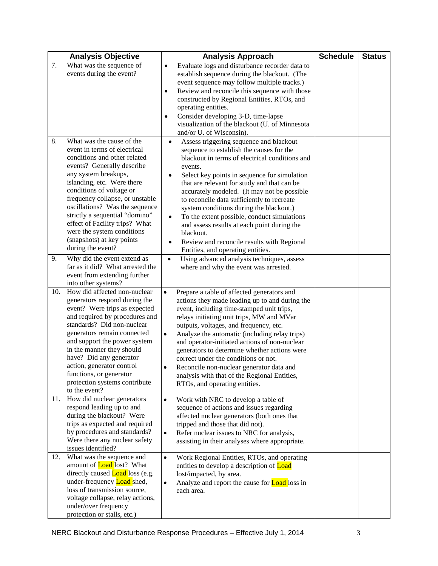|          | <b>Analysis Objective</b>                                                                                                                                                                                                                                                                                                                                                                                                                                                                                                             | <b>Analysis Approach</b>                                                                                                                                                                                                                                                                                                                                                                                                                                                                                                                                                                                                                                                                                                         | <b>Schedule</b> | <b>Status</b> |
|----------|---------------------------------------------------------------------------------------------------------------------------------------------------------------------------------------------------------------------------------------------------------------------------------------------------------------------------------------------------------------------------------------------------------------------------------------------------------------------------------------------------------------------------------------|----------------------------------------------------------------------------------------------------------------------------------------------------------------------------------------------------------------------------------------------------------------------------------------------------------------------------------------------------------------------------------------------------------------------------------------------------------------------------------------------------------------------------------------------------------------------------------------------------------------------------------------------------------------------------------------------------------------------------------|-----------------|---------------|
| 7.       | What was the sequence of<br>events during the event?                                                                                                                                                                                                                                                                                                                                                                                                                                                                                  | Evaluate logs and disturbance recorder data to<br>$\bullet$<br>establish sequence during the blackout. (The<br>event sequence may follow multiple tracks.)<br>Review and reconcile this sequence with those<br>٠<br>constructed by Regional Entities, RTOs, and<br>operating entities.<br>Consider developing 3-D, time-lapse<br>٠<br>visualization of the blackout (U. of Minnesota<br>and/or U. of Wisconsin).                                                                                                                                                                                                                                                                                                                 |                 |               |
| 8.<br>9. | What was the cause of the<br>event in terms of electrical<br>conditions and other related<br>events? Generally describe<br>any system breakups,<br>islanding, etc. Were there<br>conditions of voltage or<br>frequency collapse, or unstable<br>oscillations? Was the sequence<br>strictly a sequential "domino"<br>effect of Facility trips? What<br>were the system conditions<br>(snapshots) at key points<br>during the event?<br>Why did the event extend as<br>far as it did? What arrested the<br>event from extending further | Assess triggering sequence and blackout<br>sequence to establish the causes for the<br>blackout in terms of electrical conditions and<br>events.<br>Select key points in sequence for simulation<br>$\bullet$<br>that are relevant for study and that can be<br>accurately modeled. (It may not be possible<br>to reconcile data sufficiently to recreate<br>system conditions during the blackout.)<br>To the extent possible, conduct simulations<br>$\bullet$<br>and assess results at each point during the<br>blackout.<br>Review and reconcile results with Regional<br>$\bullet$<br>Entities, and operating entities.<br>Using advanced analysis techniques, assess<br>$\bullet$<br>where and why the event was arrested. |                 |               |
| 10.      | into other systems?<br>How did affected non-nuclear<br>generators respond during the<br>event? Were trips as expected<br>and required by procedures and<br>standards? Did non-nuclear<br>generators remain connected<br>and support the power system<br>in the manner they should<br>have? Did any generator<br>action, generator control<br>functions, or generator<br>protection systems contribute<br>to the event?                                                                                                                | Prepare a table of affected generators and<br>$\bullet$<br>actions they made leading up to and during the<br>event, including time-stamped unit trips,<br>relays initiating unit trips, MW and MVar<br>outputs, voltages, and frequency, etc.<br>Analyze the automatic (including relay trips)<br>$\bullet$<br>and operator-initiated actions of non-nuclear<br>generators to determine whether actions were<br>correct under the conditions or not.<br>Reconcile non-nuclear generator data and<br>٠<br>analysis with that of the Regional Entities,<br>RTOs, and operating entities.                                                                                                                                           |                 |               |
| 11.      | How did nuclear generators<br>respond leading up to and<br>during the blackout? Were<br>trips as expected and required<br>by procedures and standards?<br>Were there any nuclear safety<br>issues identified?                                                                                                                                                                                                                                                                                                                         | Work with NRC to develop a table of<br>$\bullet$<br>sequence of actions and issues regarding<br>affected nuclear generators (both ones that<br>tripped and those that did not).<br>Refer nuclear issues to NRC for analysis,<br>$\bullet$<br>assisting in their analyses where appropriate.                                                                                                                                                                                                                                                                                                                                                                                                                                      |                 |               |
| 12.      | What was the sequence and<br>amount of <b>Load</b> lost? What<br>directly caused <b>Load</b> loss (e.g.<br>under-frequency <b>Load</b> shed,<br>loss of transmission source,<br>voltage collapse, relay actions,<br>under/over frequency<br>protection or stalls, etc.)                                                                                                                                                                                                                                                               | Work Regional Entities, RTOs, and operating<br>$\bullet$<br>entities to develop a description of <b>Load</b><br>lost/impacted, by area.<br>Analyze and report the cause for <b>Load</b> loss in<br>$\bullet$<br>each area.                                                                                                                                                                                                                                                                                                                                                                                                                                                                                                       |                 |               |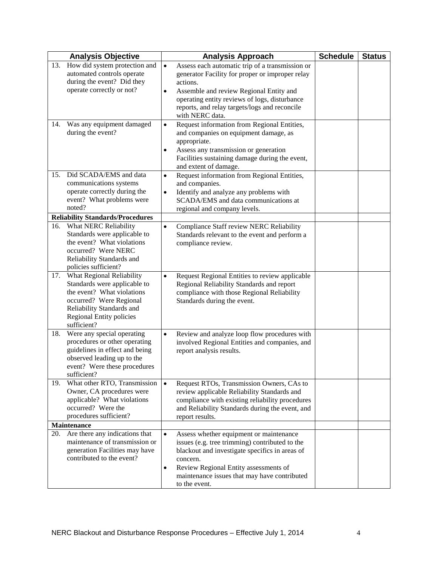|     | <b>Analysis Objective</b>                                                                                                                                                                  | <b>Analysis Approach</b>                                                                                                                                                                                                                                                                                 | <b>Schedule</b> | <b>Status</b> |
|-----|--------------------------------------------------------------------------------------------------------------------------------------------------------------------------------------------|----------------------------------------------------------------------------------------------------------------------------------------------------------------------------------------------------------------------------------------------------------------------------------------------------------|-----------------|---------------|
| 13. | How did system protection and<br>automated controls operate<br>during the event? Did they<br>operate correctly or not?                                                                     | Assess each automatic trip of a transmission or<br>$\bullet$<br>generator Facility for proper or improper relay<br>actions.<br>Assemble and review Regional Entity and<br>$\bullet$<br>operating entity reviews of logs, disturbance<br>reports, and relay targets/logs and reconcile<br>with NERC data. |                 |               |
| 14. | Was any equipment damaged<br>during the event?                                                                                                                                             | Request information from Regional Entities,<br>$\bullet$<br>and companies on equipment damage, as<br>appropriate.<br>Assess any transmission or generation<br>٠<br>Facilities sustaining damage during the event,<br>and extent of damage.                                                               |                 |               |
| 15. | Did SCADA/EMS and data<br>communications systems<br>operate correctly during the<br>event? What problems were<br>noted?<br><b>Reliability Standards/Procedures</b>                         | Request information from Regional Entities,<br>$\bullet$<br>and companies.<br>Identify and analyze any problems with<br>$\bullet$<br>SCADA/EMS and data communications at<br>regional and company levels.                                                                                                |                 |               |
|     | 16. What NERC Reliability<br>Standards were applicable to<br>the event? What violations<br>occurred? Were NERC<br>Reliability Standards and<br>policies sufficient?                        | $\bullet$<br>Compliance Staff review NERC Reliability<br>Standards relevant to the event and perform a<br>compliance review.                                                                                                                                                                             |                 |               |
| 17. | What Regional Reliability<br>Standards were applicable to<br>the event? What violations<br>occurred? Were Regional<br>Reliability Standards and<br>Regional Entity policies<br>sufficient? | Request Regional Entities to review applicable<br>$\bullet$<br>Regional Reliability Standards and report<br>compliance with those Regional Reliability<br>Standards during the event.                                                                                                                    |                 |               |
| 18. | Were any special operating<br>procedures or other operating<br>guidelines in effect and being<br>observed leading up to the<br>event? Were these procedures<br>sufficient?                 | Review and analyze loop flow procedures with<br>$\bullet$<br>involved Regional Entities and companies, and<br>report analysis results.                                                                                                                                                                   |                 |               |
| 19. | What other RTO, Transmission<br>Owner, CA procedures were<br>applicable? What violations<br>occurred? Were the<br>procedures sufficient?                                                   | Request RTOs, Transmission Owners, CAs to<br>$\bullet$<br>review applicable Reliability Standards and<br>compliance with existing reliability procedures<br>and Reliability Standards during the event, and<br>report results.                                                                           |                 |               |
| 20. | Maintenance<br>Are there any indications that<br>maintenance of transmission or<br>generation Facilities may have<br>contributed to the event?                                             | $\bullet$<br>Assess whether equipment or maintenance<br>issues (e.g. tree trimming) contributed to the<br>blackout and investigate specifics in areas of<br>concern.<br>Review Regional Entity assessments of<br>$\bullet$<br>maintenance issues that may have contributed<br>to the event.              |                 |               |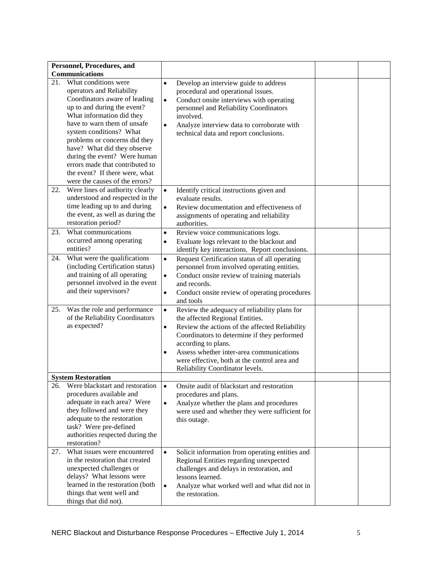| Personnel, Procedures, and             |                                                              |  |
|----------------------------------------|--------------------------------------------------------------|--|
| Communications                         |                                                              |  |
| What conditions were<br>21.            | Develop an interview guide to address<br>$\bullet$           |  |
| operators and Reliability              | procedural and operational issues.                           |  |
| Coordinators aware of leading          |                                                              |  |
| up to and during the event?            | Conduct onsite interviews with operating<br>$\bullet$        |  |
|                                        | personnel and Reliability Coordinators                       |  |
| What information did they              | involved.                                                    |  |
| have to warn them of unsafe            | Analyze interview data to corroborate with<br>$\bullet$      |  |
| system conditions? What                | technical data and report conclusions.                       |  |
| problems or concerns did they          |                                                              |  |
| have? What did they observe            |                                                              |  |
| during the event? Were human           |                                                              |  |
| errors made that contributed to        |                                                              |  |
| the event? If there were, what         |                                                              |  |
| were the causes of the errors?         |                                                              |  |
| Were lines of authority clearly<br>22. | Identify critical instructions given and<br>$\bullet$        |  |
| understood and respected in the        | evaluate results.                                            |  |
| time leading up to and during          | Review documentation and effectiveness of<br>$\bullet$       |  |
| the event, as well as during the       | assignments of operating and reliability                     |  |
| restoration period?                    | authorities.                                                 |  |
| What communications<br>23.             | Review voice communications logs.<br>$\bullet$               |  |
| occurred among operating               | Evaluate logs relevant to the blackout and<br>$\bullet$      |  |
| entities?                              | identify key interactions. Report conclusions.               |  |
| What were the qualifications<br>24.    | Request Certification status of all operating<br>$\bullet$   |  |
| (including Certification status)       | personnel from involved operating entities.                  |  |
| and training of all operating          | Conduct onsite review of training materials<br>$\bullet$     |  |
| personnel involved in the event        | and records.                                                 |  |
| and their supervisors?                 |                                                              |  |
|                                        | Conduct onsite review of operating procedures<br>$\bullet$   |  |
|                                        | and tools                                                    |  |
| Was the role and performance<br>25.    | Review the adequacy of reliability plans for<br>$\bullet$    |  |
| of the Reliability Coordinators        | the affected Regional Entities.                              |  |
| as expected?                           | Review the actions of the affected Reliability<br>$\bullet$  |  |
|                                        | Coordinators to determine if they performed                  |  |
|                                        | according to plans.                                          |  |
|                                        | Assess whether inter-area communications<br>$\bullet$        |  |
|                                        | were effective, both at the control area and                 |  |
|                                        | Reliability Coordinator levels.                              |  |
| <b>System Restoration</b>              |                                                              |  |
| Were blackstart and restoration<br>26. | $\bullet$<br>Onsite audit of blackstart and restoration      |  |
| procedures available and               | procedures and plans.                                        |  |
| adequate in each area? Were            | Analyze whether the plans and procedures<br>$\bullet$        |  |
| they followed and were they            | were used and whether they were sufficient for               |  |
| adequate to the restoration            | this outage.                                                 |  |
| task? Were pre-defined                 |                                                              |  |
| authorities respected during the       |                                                              |  |
| restoration?                           |                                                              |  |
| 27.<br>What issues were encountered    | Solicit information from operating entities and<br>$\bullet$ |  |
| in the restoration that created        | Regional Entities regarding unexpected                       |  |
| unexpected challenges or               | challenges and delays in restoration, and                    |  |
| delays? What lessons were              | lessons learned.                                             |  |
| learned in the restoration (both       | Analyze what worked well and what did not in<br>$\bullet$    |  |
| things that went well and              | the restoration.                                             |  |
| things that did not).                  |                                                              |  |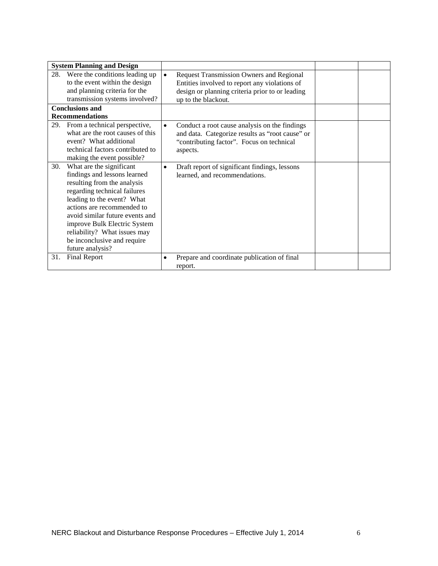| <b>System Planning and Design</b>                                                                                                                                                                                                                                                                                                                |           |                                                                                                                                                                            |  |
|--------------------------------------------------------------------------------------------------------------------------------------------------------------------------------------------------------------------------------------------------------------------------------------------------------------------------------------------------|-----------|----------------------------------------------------------------------------------------------------------------------------------------------------------------------------|--|
| Were the conditions leading up<br>28.<br>to the event within the design<br>and planning criteria for the<br>transmission systems involved?                                                                                                                                                                                                       | $\bullet$ | <b>Request Transmission Owners and Regional</b><br>Entities involved to report any violations of<br>design or planning criteria prior to or leading<br>up to the blackout. |  |
| <b>Conclusions and</b>                                                                                                                                                                                                                                                                                                                           |           |                                                                                                                                                                            |  |
| <b>Recommendations</b>                                                                                                                                                                                                                                                                                                                           |           |                                                                                                                                                                            |  |
| From a technical perspective,<br>29.<br>what are the root causes of this<br>event? What additional<br>technical factors contributed to<br>making the event possible?                                                                                                                                                                             | $\bullet$ | Conduct a root cause analysis on the findings<br>and data. Categorize results as "root cause" or<br>"contributing factor". Focus on technical<br>aspects.                  |  |
| What are the significant<br>30.<br>findings and lessons learned<br>resulting from the analysis<br>regarding technical failures<br>leading to the event? What<br>actions are recommended to<br>avoid similar future events and<br>improve Bulk Electric System<br>reliability? What issues may<br>be inconclusive and require<br>future analysis? | $\bullet$ | Draft report of significant findings, lessons<br>learned, and recommendations.                                                                                             |  |
| <b>Final Report</b><br>31.                                                                                                                                                                                                                                                                                                                       |           | Prepare and coordinate publication of final<br>report.                                                                                                                     |  |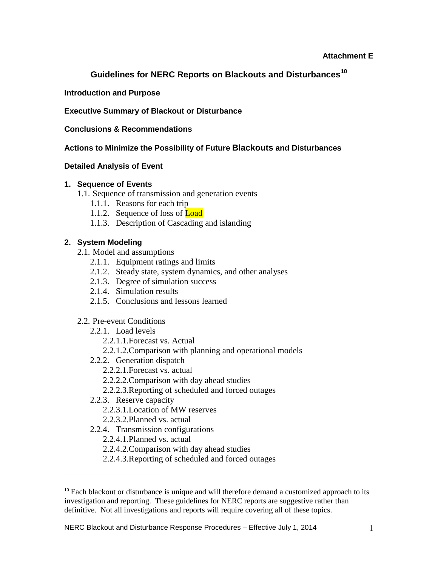#### **Attachment E**

# **Guidelines for NERC Reports on Blackouts and Disturbances[10](#page-20-0)**

#### **Introduction and Purpose**

#### **Executive Summary of Blackout or Disturbance**

#### **Conclusions & Recommendations**

# **Actions to Minimize the Possibility of Future Blackouts and Disturbances**

#### **Detailed Analysis of Event**

#### **1. Sequence of Events**

- 1.1. Sequence of transmission and generation events
	- 1.1.1. Reasons for each trip
	- 1.1.2. Sequence of loss of **Load**
	- 1.1.3. Description of Cascading and islanding

# **2. System Modeling**

- 2.1. Model and assumptions
	- 2.1.1. Equipment ratings and limits
	- 2.1.2. Steady state, system dynamics, and other analyses
	- 2.1.3. Degree of simulation success
	- 2.1.4. Simulation results
	- 2.1.5. Conclusions and lessons learned

#### 2.2. Pre-event Conditions

- 2.2.1. Load levels
	- 2.2.1.1.Forecast vs. Actual
	- 2.2.1.2.Comparison with planning and operational models
- 2.2.2. Generation dispatch
	- 2.2.2.1.Forecast vs. actual
	- 2.2.2.2.Comparison with day ahead studies
	- 2.2.2.3.Reporting of scheduled and forced outages
- 2.2.3. Reserve capacity

 $\overline{a}$ 

- 2.2.3.1.Location of MW reserves
- 2.2.3.2.Planned vs. actual
- 2.2.4. Transmission configurations
	- 2.2.4.1.Planned vs. actual
	- 2.2.4.2.Comparison with day ahead studies
	- 2.2.4.3.Reporting of scheduled and forced outages

<span id="page-20-0"></span> $10$  Each blackout or disturbance is unique and will therefore demand a customized approach to its investigation and reporting. These guidelines for NERC reports are suggestive rather than definitive. Not all investigations and reports will require covering all of these topics.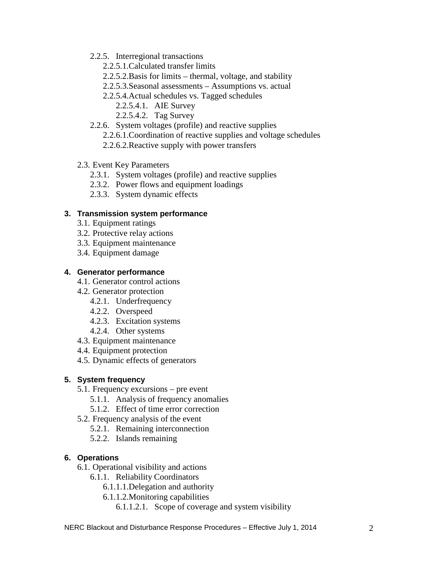- 2.2.5. Interregional transactions
	- 2.2.5.1.Calculated transfer limits
	- 2.2.5.2.Basis for limits thermal, voltage, and stability
	- 2.2.5.3.Seasonal assessments Assumptions vs. actual
	- 2.2.5.4.Actual schedules vs. Tagged schedules
		- 2.2.5.4.1. AIE Survey
		- 2.2.5.4.2. Tag Survey
- 2.2.6. System voltages (profile) and reactive supplies
	- 2.2.6.1.Coordination of reactive supplies and voltage schedules
	- 2.2.6.2.Reactive supply with power transfers
- 2.3. Event Key Parameters
	- 2.3.1. System voltages (profile) and reactive supplies
	- 2.3.2. Power flows and equipment loadings
	- 2.3.3. System dynamic effects

#### **3. Transmission system performance**

- 3.1. Equipment ratings
- 3.2. Protective relay actions
- 3.3. Equipment maintenance
- 3.4. Equipment damage

#### **4. Generator performance**

- 4.1. Generator control actions
- 4.2. Generator protection
	- 4.2.1. Underfrequency
	- 4.2.2. Overspeed
	- 4.2.3. Excitation systems
	- 4.2.4. Other systems
- 4.3. Equipment maintenance
- 4.4. Equipment protection
- 4.5. Dynamic effects of generators

# **5. System frequency**

- 5.1. Frequency excursions pre event
	- 5.1.1. Analysis of frequency anomalies
	- 5.1.2. Effect of time error correction
- 5.2. Frequency analysis of the event
	- 5.2.1. Remaining interconnection
	- 5.2.2. Islands remaining

# **6. Operations**

- 6.1. Operational visibility and actions
	- 6.1.1. Reliability Coordinators
		- 6.1.1.1.Delegation and authority
		- 6.1.1.2.Monitoring capabilities
			- 6.1.1.2.1. Scope of coverage and system visibility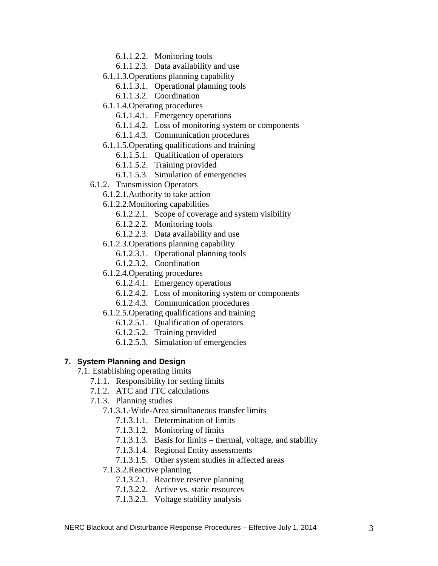- 6.1.1.2.2. Monitoring tools
- 6.1.1.2.3. Data availability and use
- 6.1.1.3.Operations planning capability
	- 6.1.1.3.1. Operational planning tools
	- 6.1.1.3.2. Coordination
- 6.1.1.4.Operating procedures
	- 6.1.1.4.1. Emergency operations
	- 6.1.1.4.2. Loss of monitoring system or components
	- 6.1.1.4.3. Communication procedures
- 6.1.1.5.Operating qualifications and training
	- 6.1.1.5.1. Qualification of operators
	- 6.1.1.5.2. Training provided
	- 6.1.1.5.3. Simulation of emergencies
- 6.1.2. Transmission Operators
	- 6.1.2.1.Authority to take action
	- 6.1.2.2.Monitoring capabilities
		- 6.1.2.2.1. Scope of coverage and system visibility
		- 6.1.2.2.2. Monitoring tools
		- 6.1.2.2.3. Data availability and use
	- 6.1.2.3.Operations planning capability
		- 6.1.2.3.1. Operational planning tools
		- 6.1.2.3.2. Coordination
	- 6.1.2.4.Operating procedures
		- 6.1.2.4.1. Emergency operations
		- 6.1.2.4.2. Loss of monitoring system or components
		- 6.1.2.4.3. Communication procedures
	- 6.1.2.5.Operating qualifications and training
		- 6.1.2.5.1. Qualification of operators
		- 6.1.2.5.2. Training provided
		- 6.1.2.5.3. Simulation of emergencies

#### **7. System Planning and Design**

- 7.1. Establishing operating limits
	- 7.1.1. Responsibility for setting limits
	- 7.1.2. ATC and TTC calculations
	- 7.1.3. Planning studies
		- 7.1.3.1.·Wide-Area simultaneous transfer limits
			- 7.1.3.1.1. Determination of limits
			- 7.1.3.1.2. Monitoring of limits
			- 7.1.3.1.3. Basis for limits thermal, voltage, and stability
			- 7.1.3.1.4. Regional Entity assessments
			- 7.1.3.1.5. Other system studies in affected areas
		- 7.1.3.2.Reactive planning
			- 7.1.3.2.1. Reactive reserve planning
			- 7.1.3.2.2. Active vs. static resources
			- 7.1.3.2.3. Voltage stability analysis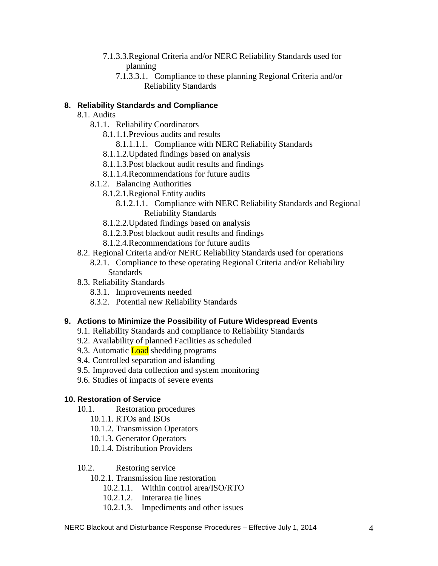- 7.1.3.3.Regional Criteria and/or NERC Reliability Standards used for planning
	- 7.1.3.3.1. Compliance to these planning Regional Criteria and/or Reliability Standards

# **8. Reliability Standards and Compliance**

# 8.1. Audits

- 8.1.1. Reliability Coordinators
	- 8.1.1.1.Previous audits and results
		- 8.1.1.1.1. Compliance with NERC Reliability Standards
	- 8.1.1.2.Updated findings based on analysis
	- 8.1.1.3.Post blackout audit results and findings
	- 8.1.1.4.Recommendations for future audits
- 8.1.2. Balancing Authorities
	- 8.1.2.1.Regional Entity audits
		- 8.1.2.1.1. Compliance with NERC Reliability Standards and Regional Reliability Standards
	- 8.1.2.2.Updated findings based on analysis
	- 8.1.2.3.Post blackout audit results and findings
	- 8.1.2.4.Recommendations for future audits
- 8.2. Regional Criteria and/or NERC Reliability Standards used for operations
	- 8.2.1. Compliance to these operating Regional Criteria and/or Reliability **Standards**
- 8.3. Reliability Standards
	- 8.3.1. Improvements needed
	- 8.3.2. Potential new Reliability Standards

#### **9. Actions to Minimize the Possibility of Future Widespread Events**

- 9.1. Reliability Standards and compliance to Reliability Standards
- 9.2. Availability of planned Facilities as scheduled
- 9.3. Automatic **Load** shedding programs
- 9.4. Controlled separation and islanding
- 9.5. Improved data collection and system monitoring
- 9.6. Studies of impacts of severe events

#### **10. Restoration of Service**

- 10.1. Restoration procedures
	- 10.1.1. RTOs and ISOs
	- 10.1.2. Transmission Operators
	- 10.1.3. Generator Operators
	- 10.1.4. Distribution Providers

#### 10.2. Restoring service

- 10.2.1. Transmission line restoration
	- 10.2.1.1. Within control area/ISO/RTO
	- 10.2.1.2. Interarea tie lines
	- 10.2.1.3. Impediments and other issues